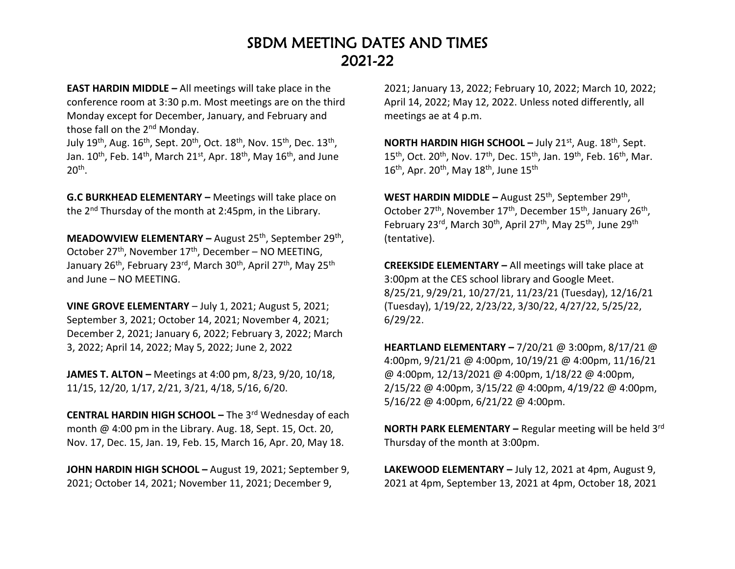## SBDM MEETING DATES AND TIMES 2021-22

**EAST HARDIN MIDDLE –** All meetings will take place in the conference room at 3:30 p.m. Most meetings are on the third Monday except for December, January, and February and those fall on the 2<sup>nd</sup> Monday.

July 19<sup>th</sup>, Aug. 16<sup>th</sup>, Sept. 20<sup>th</sup>, Oct. 18<sup>th</sup>, Nov. 15<sup>th</sup>, Dec. 13<sup>th</sup>, Jan.  $10^{th}$ , Feb.  $14^{th}$ , March  $21^{st}$ , Apr.  $18^{th}$ , May  $16^{th}$ , and June  $20<sup>th</sup>$ .

**G.C BURKHEAD ELEMENTARY –** Meetings will take place on the 2nd Thursday of the month at 2:45pm, in the Library.

**MEADOWVIEW ELEMENTARY –** August 25th, September 29th , October 27<sup>th</sup>, November 17<sup>th</sup>, December – NO MEETING, January 26<sup>th</sup>, February 23<sup>rd</sup>, March 30<sup>th</sup>, April 27<sup>th</sup>, May 25<sup>th</sup> and June – NO MEETING.

**VINE GROVE ELEMENTARY** – July 1, 2021; August 5, 2021; September 3, 2021; October 14, 2021; November 4, 2021; December 2, 2021; January 6, 2022; February 3, 2022; March 3, 2022; April 14, 2022; May 5, 2022; June 2, 2022

**JAMES T. ALTON –** Meetings at 4:00 pm, 8/23, 9/20, 10/18, 11/15, 12/20, 1/17, 2/21, 3/21, 4/18, 5/16, 6/20.

**CENTRAL HARDIN HIGH SCHOOL –** The 3rd Wednesday of each month @ 4:00 pm in the Library. Aug. 18, Sept. 15, Oct. 20, Nov. 17, Dec. 15, Jan. 19, Feb. 15, March 16, Apr. 20, May 18.

**JOHN HARDIN HIGH SCHOOL –** August 19, 2021; September 9, 2021; October 14, 2021; November 11, 2021; December 9,

2021; January 13, 2022; February 10, 2022; March 10, 2022; April 14, 2022; May 12, 2022. Unless noted differently, all meetings ae at 4 p.m.

**NORTH HARDIN HIGH SCHOOL –** July 21st, Aug. 18th, Sept. 15<sup>th</sup>, Oct. 20<sup>th</sup>, Nov. 17<sup>th</sup>, Dec. 15<sup>th</sup>, Jan. 19<sup>th</sup>, Feb. 16<sup>th</sup>, Mar.  $16^{\text{th}}$ , Apr. 20<sup>th</sup>, May  $18^{\text{th}}$ , June  $15^{\text{th}}$ 

WEST HARDIN MIDDLE – August 25<sup>th</sup>, September 29<sup>th</sup>, October 27<sup>th</sup>, November 17<sup>th</sup>, December 15<sup>th</sup>, January 26<sup>th</sup>, February 23<sup>rd</sup>, March 30<sup>th</sup>, April 27<sup>th</sup>, May 25<sup>th</sup>, June 29<sup>th</sup> (tentative).

**CREEKSIDE ELEMENTARY –** All meetings will take place at 3:00pm at the CES school library and Google Meet. 8/25/21, 9/29/21, 10/27/21, 11/23/21 (Tuesday), 12/16/21 (Tuesday), 1/19/22, 2/23/22, 3/30/22, 4/27/22, 5/25/22, 6/29/22.

**HEARTLAND ELEMENTARY –** 7/20/21 @ 3:00pm, 8/17/21 @ 4:00pm, 9/21/21 @ 4:00pm, 10/19/21 @ 4:00pm, 11/16/21 @ 4:00pm, 12/13/2021 @ 4:00pm, 1/18/22 @ 4:00pm, 2/15/22 @ 4:00pm, 3/15/22 @ 4:00pm, 4/19/22 @ 4:00pm, 5/16/22 @ 4:00pm, 6/21/22 @ 4:00pm.

**NORTH PARK ELEMENTARY –** Regular meeting will be held 3rd Thursday of the month at 3:00pm.

**LAKEWOOD ELEMENTARY –** July 12, 2021 at 4pm, August 9, 2021 at 4pm, September 13, 2021 at 4pm, October 18, 2021